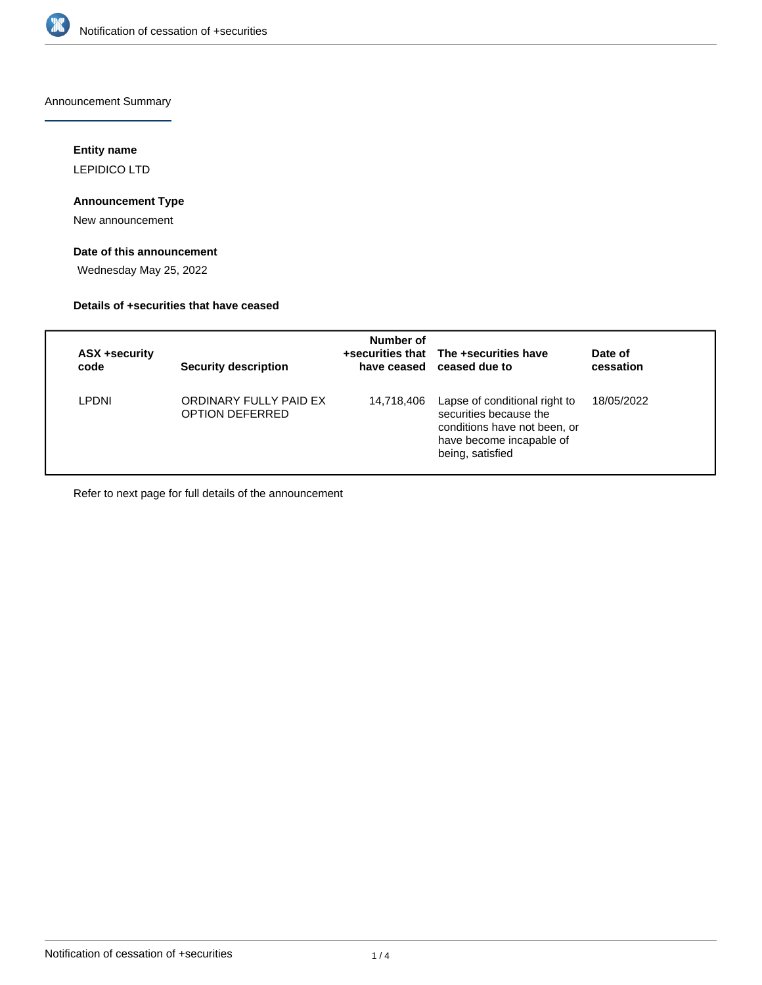

Announcement Summary

# **Entity name**

LEPIDICO LTD

## **Announcement Type**

New announcement

# **Date of this announcement**

Wednesday May 25, 2022

## **Details of +securities that have ceased**

| ASX +security<br>code | <b>Security description</b>               | Number of  | +securities that The +securities have<br>have ceased ceased due to                                                                      | Date of<br>cessation |
|-----------------------|-------------------------------------------|------------|-----------------------------------------------------------------------------------------------------------------------------------------|----------------------|
| LPDNI                 | ORDINARY FULLY PAID EX<br>OPTION DEFERRED | 14,718,406 | Lapse of conditional right to<br>securities because the<br>conditions have not been, or<br>have become incapable of<br>being, satisfied | 18/05/2022           |

Refer to next page for full details of the announcement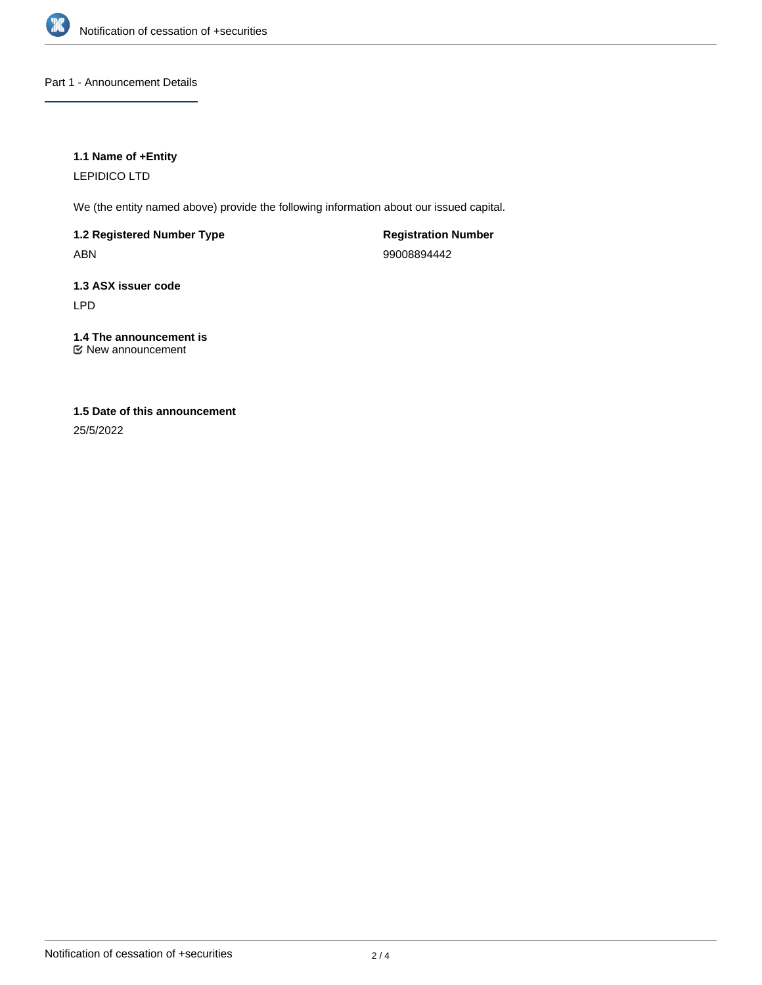

Part 1 - Announcement Details

# **1.1 Name of +Entity**

LEPIDICO LTD

We (the entity named above) provide the following information about our issued capital.

**1.2 Registered Number Type** ABN

**Registration Number** 99008894442

**1.3 ASX issuer code** LPD

**1.4 The announcement is** New announcement

# **1.5 Date of this announcement**

25/5/2022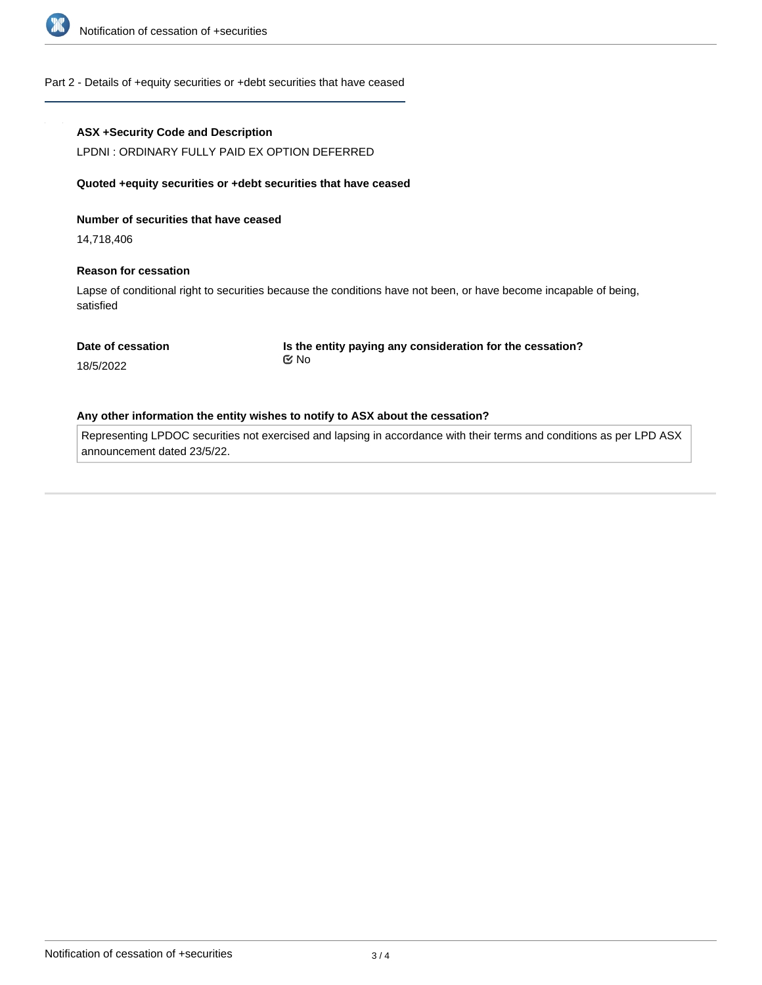

#### Part 2 - Details of +equity securities or +debt securities that have ceased

#### **ASX +Security Code and Description**

LPDNI : ORDINARY FULLY PAID EX OPTION DEFERRED

#### **Quoted +equity securities or +debt securities that have ceased**

#### **Number of securities that have ceased**

14,718,406

#### **Reason for cessation**

Lapse of conditional right to securities because the conditions have not been, or have become incapable of being, satisfied

#### **Date of cessation**

**Is the entity paying any consideration for the cessation?** No

18/5/2022

#### **Any other information the entity wishes to notify to ASX about the cessation?**

Representing LPDOC securities not exercised and lapsing in accordance with their terms and conditions as per LPD ASX announcement dated 23/5/22.